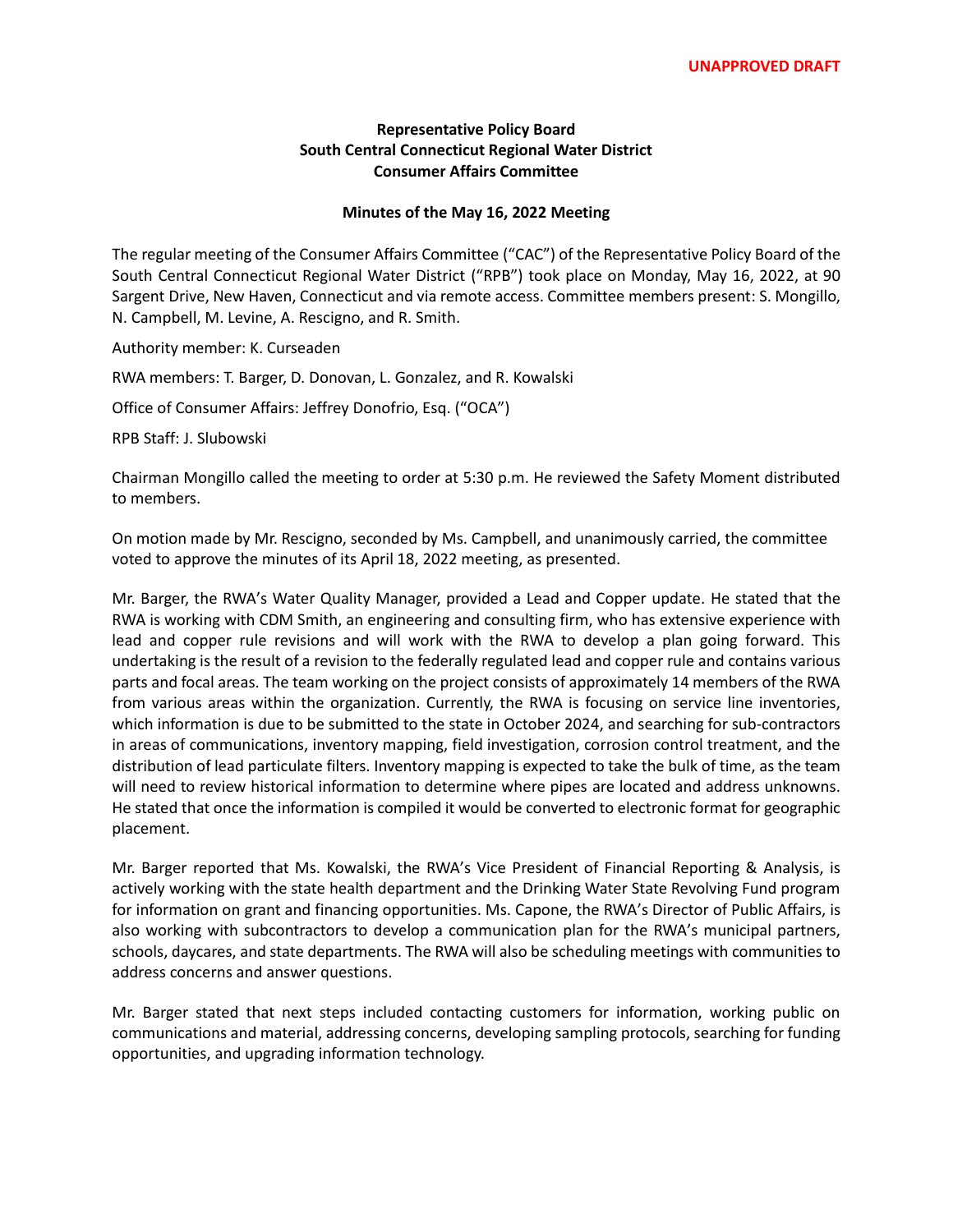## **Representative Policy Board South Central Connecticut Regional Water District Consumer Affairs Committee**

## **Minutes of the May 16, 2022 Meeting**

The regular meeting of the Consumer Affairs Committee ("CAC") of the Representative Policy Board of the South Central Connecticut Regional Water District ("RPB") took place on Monday, May 16, 2022, at 90 Sargent Drive, New Haven, Connecticut and via remote access. Committee members present: S. Mongillo, N. Campbell, M. Levine, A. Rescigno, and R. Smith.

Authority member: K. Curseaden

RWA members: T. Barger, D. Donovan, L. Gonzalez, and R. Kowalski

Office of Consumer Affairs: Jeffrey Donofrio, Esq. ("OCA")

RPB Staff: J. Slubowski

Chairman Mongillo called the meeting to order at 5:30 p.m. He reviewed the Safety Moment distributed to members.

On motion made by Mr. Rescigno, seconded by Ms. Campbell, and unanimously carried, the committee voted to approve the minutes of its April 18, 2022 meeting, as presented.

Mr. Barger, the RWA's Water Quality Manager, provided a Lead and Copper update. He stated that the RWA is working with CDM Smith, an engineering and consulting firm, who has extensive experience with lead and copper rule revisions and will work with the RWA to develop a plan going forward. This undertaking is the result of a revision to the federally regulated lead and copper rule and contains various parts and focal areas. The team working on the project consists of approximately 14 members of the RWA from various areas within the organization. Currently, the RWA is focusing on service line inventories, which information is due to be submitted to the state in October 2024, and searching for sub-contractors in areas of communications, inventory mapping, field investigation, corrosion control treatment, and the distribution of lead particulate filters. Inventory mapping is expected to take the bulk of time, as the team will need to review historical information to determine where pipes are located and address unknowns. He stated that once the information is compiled it would be converted to electronic format for geographic placement.

Mr. Barger reported that Ms. Kowalski, the RWA's Vice President of Financial Reporting & Analysis, is actively working with the state health department and the Drinking Water State Revolving Fund program for information on grant and financing opportunities. Ms. Capone, the RWA's Director of Public Affairs, is also working with subcontractors to develop a communication plan for the RWA's municipal partners, schools, daycares, and state departments. The RWA will also be scheduling meetings with communities to address concerns and answer questions.

Mr. Barger stated that next steps included contacting customers for information, working public on communications and material, addressing concerns, developing sampling protocols, searching for funding opportunities, and upgrading information technology.